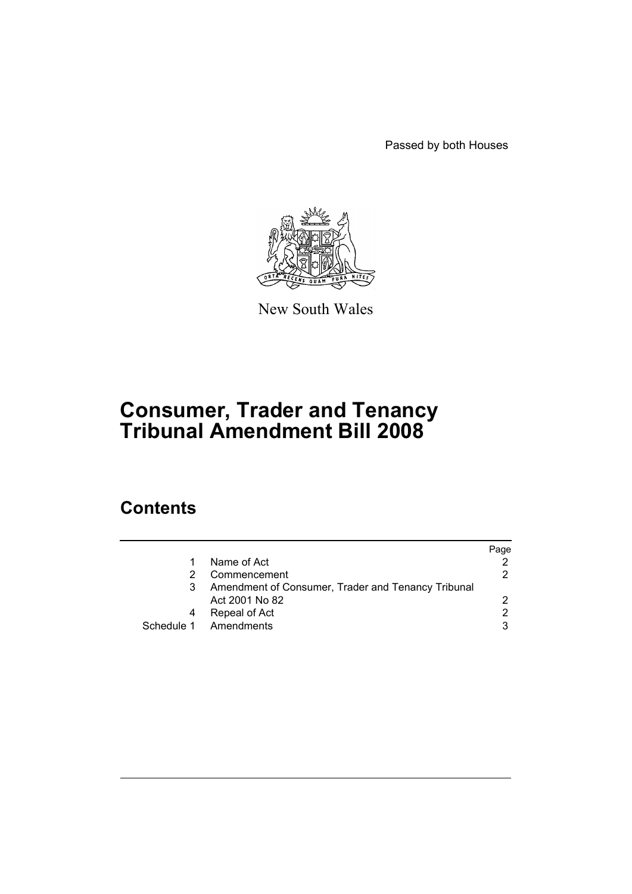Passed by both Houses



New South Wales

# **Consumer, Trader and Tenancy Tribunal Amendment Bill 2008**

# **Contents**

|                                                    | Page |
|----------------------------------------------------|------|
| Name of Act                                        |      |
| Commencement                                       | 2    |
| Amendment of Consumer, Trader and Tenancy Tribunal |      |
| Act 2001 No 82                                     |      |
| Repeal of Act                                      | 2    |
| Schedule 1 Amendments                              | 3    |
|                                                    |      |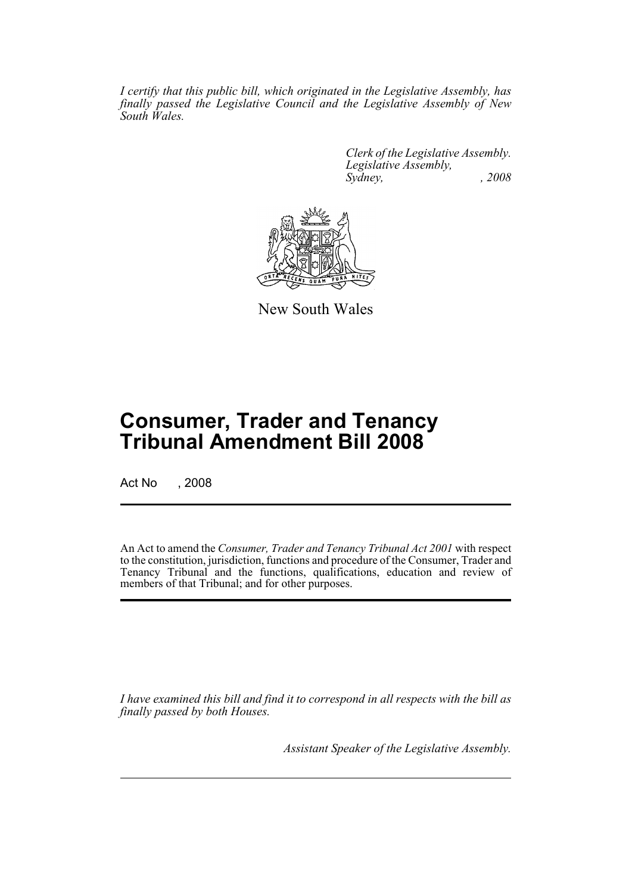*I certify that this public bill, which originated in the Legislative Assembly, has finally passed the Legislative Council and the Legislative Assembly of New South Wales.*

> *Clerk of the Legislative Assembly. Legislative Assembly, Sydney, , 2008*



New South Wales

# **Consumer, Trader and Tenancy Tribunal Amendment Bill 2008**

Act No , 2008

An Act to amend the *Consumer, Trader and Tenancy Tribunal Act 2001* with respect to the constitution, jurisdiction, functions and procedure of the Consumer, Trader and Tenancy Tribunal and the functions, qualifications, education and review of members of that Tribunal; and for other purposes.

*I have examined this bill and find it to correspond in all respects with the bill as finally passed by both Houses.*

*Assistant Speaker of the Legislative Assembly.*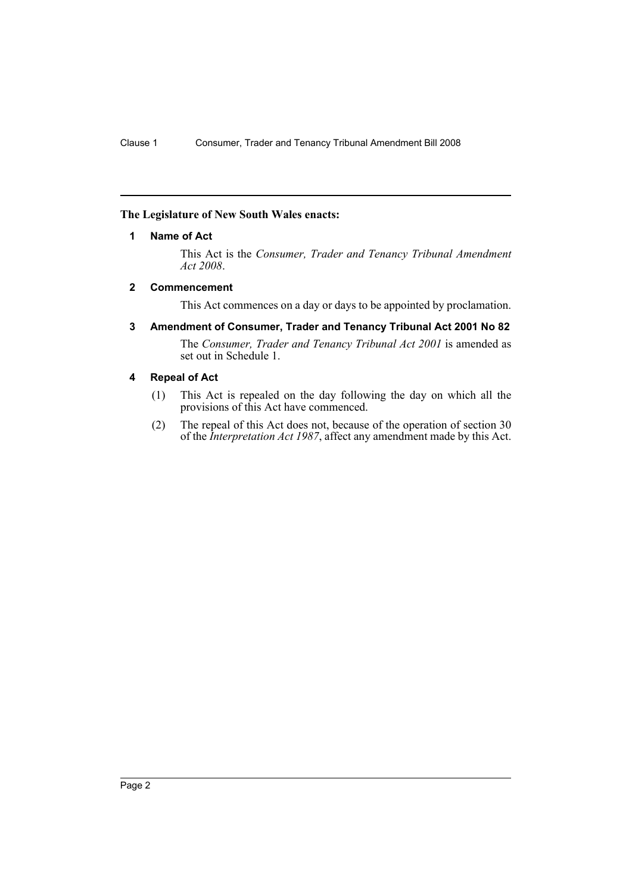# <span id="page-2-0"></span>**The Legislature of New South Wales enacts:**

# **1 Name of Act**

This Act is the *Consumer, Trader and Tenancy Tribunal Amendment Act 2008*.

### <span id="page-2-1"></span>**2 Commencement**

This Act commences on a day or days to be appointed by proclamation.

<span id="page-2-2"></span>**3 Amendment of Consumer, Trader and Tenancy Tribunal Act 2001 No 82**

The *Consumer, Trader and Tenancy Tribunal Act 2001* is amended as set out in Schedule 1.

# <span id="page-2-3"></span>**4 Repeal of Act**

- (1) This Act is repealed on the day following the day on which all the provisions of this Act have commenced.
- (2) The repeal of this Act does not, because of the operation of section 30 of the *Interpretation Act 1987*, affect any amendment made by this Act.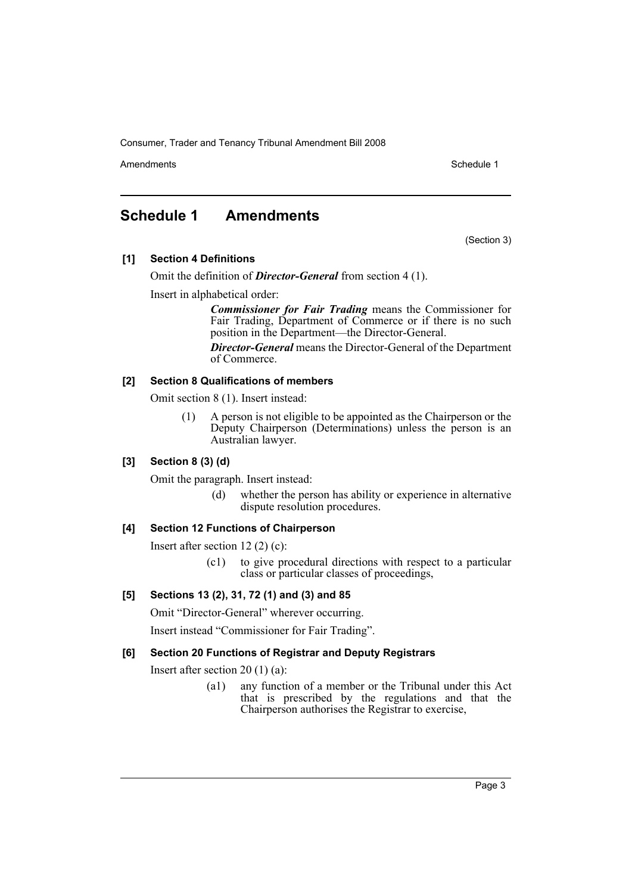Amendments **Amendments** Schedule 1

# <span id="page-3-0"></span>**Schedule 1 Amendments**

(Section 3)

**[1] Section 4 Definitions**

Omit the definition of *Director-General* from section 4 (1).

Insert in alphabetical order:

*Commissioner for Fair Trading* means the Commissioner for Fair Trading, Department of Commerce or if there is no such position in the Department—the Director-General.

*Director-General* means the Director-General of the Department of Commerce.

### **[2] Section 8 Qualifications of members**

Omit section 8 (1). Insert instead:

(1) A person is not eligible to be appointed as the Chairperson or the Deputy Chairperson (Determinations) unless the person is an Australian lawyer.

# **[3] Section 8 (3) (d)**

Omit the paragraph. Insert instead:

(d) whether the person has ability or experience in alternative dispute resolution procedures.

# **[4] Section 12 Functions of Chairperson**

Insert after section 12 (2) (c):

(c1) to give procedural directions with respect to a particular class or particular classes of proceedings,

# **[5] Sections 13 (2), 31, 72 (1) and (3) and 85**

Omit "Director-General" wherever occurring.

Insert instead "Commissioner for Fair Trading".

### **[6] Section 20 Functions of Registrar and Deputy Registrars**

Insert after section 20 (1) (a):

(a1) any function of a member or the Tribunal under this Act that is prescribed by the regulations and that the Chairperson authorises the Registrar to exercise,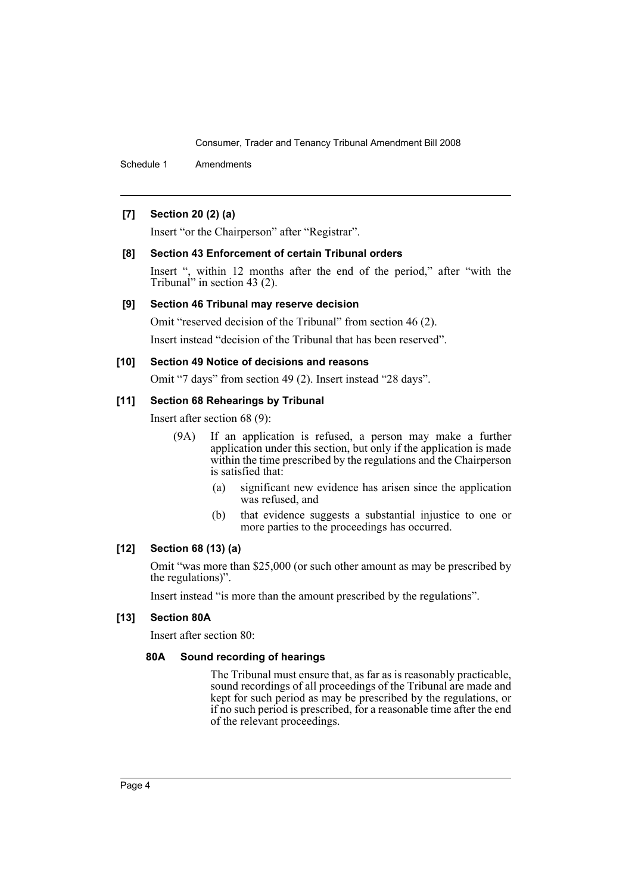Schedule 1 Amendments

# **[7] Section 20 (2) (a)**

Insert "or the Chairperson" after "Registrar".

### **[8] Section 43 Enforcement of certain Tribunal orders**

Insert ", within 12 months after the end of the period," after "with the Tribunal" in section 43 (2).

### **[9] Section 46 Tribunal may reserve decision**

Omit "reserved decision of the Tribunal" from section 46 (2).

Insert instead "decision of the Tribunal that has been reserved".

#### **[10] Section 49 Notice of decisions and reasons**

Omit "7 days" from section 49 (2). Insert instead "28 days".

## **[11] Section 68 Rehearings by Tribunal**

Insert after section 68 (9):

- (9A) If an application is refused, a person may make a further application under this section, but only if the application is made within the time prescribed by the regulations and the Chairperson is satisfied that:
	- (a) significant new evidence has arisen since the application was refused, and
	- (b) that evidence suggests a substantial injustice to one or more parties to the proceedings has occurred.

#### **[12] Section 68 (13) (a)**

Omit "was more than \$25,000 (or such other amount as may be prescribed by the regulations)".

Insert instead "is more than the amount prescribed by the regulations".

# **[13] Section 80A**

Insert after section 80:

# **80A Sound recording of hearings**

The Tribunal must ensure that, as far as is reasonably practicable, sound recordings of all proceedings of the Tribunal are made and kept for such period as may be prescribed by the regulations, or if no such period is prescribed, for a reasonable time after the end of the relevant proceedings.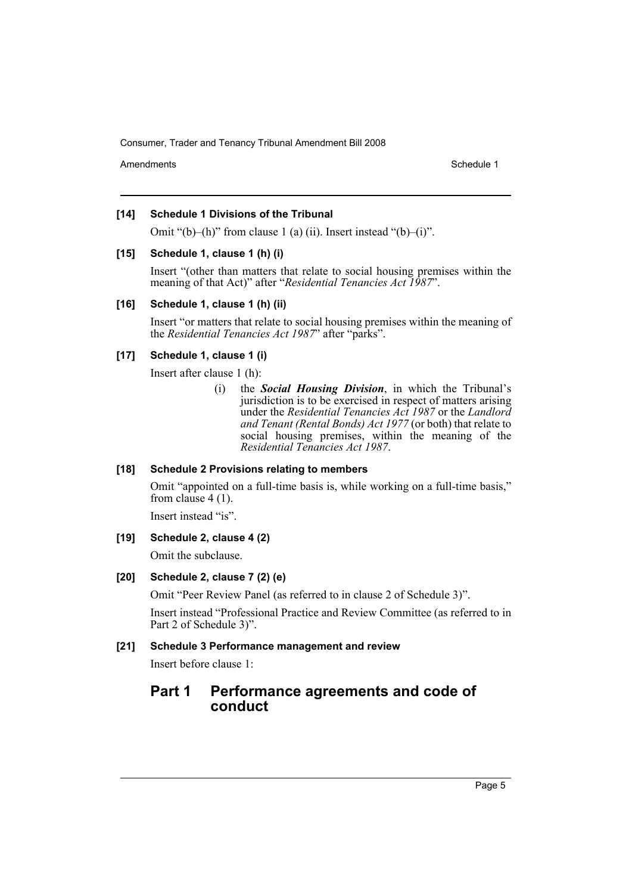Amendments **Schedule 1** and the set of the set of the set of the set of the set of the set of the set of the set of the set of the set of the set of the set of the set of the set of the set of the set of the set of the set

### **[14] Schedule 1 Divisions of the Tribunal**

Omit " $(b)$ – $(h)$ " from clause 1 (a) (ii). Insert instead " $(b)$ – $(i)$ ".

### **[15] Schedule 1, clause 1 (h) (i)**

Insert "(other than matters that relate to social housing premises within the meaning of that Act)" after "*Residential Tenancies Act 1987*".

### **[16] Schedule 1, clause 1 (h) (ii)**

Insert "or matters that relate to social housing premises within the meaning of the *Residential Tenancies Act 1987*" after "parks".

# **[17] Schedule 1, clause 1 (i)**

Insert after clause 1 (h):

(i) the *Social Housing Division*, in which the Tribunal's jurisdiction is to be exercised in respect of matters arising under the *Residential Tenancies Act 1987* or the *Landlord and Tenant (Rental Bonds) Act 1977* (or both) that relate to social housing premises, within the meaning of the *Residential Tenancies Act 1987*.

# **[18] Schedule 2 Provisions relating to members**

Omit "appointed on a full-time basis is, while working on a full-time basis," from clause 4 (1).

Insert instead "is".

# **[19] Schedule 2, clause 4 (2)**

Omit the subclause.

# **[20] Schedule 2, clause 7 (2) (e)**

Omit "Peer Review Panel (as referred to in clause 2 of Schedule 3)".

Insert instead "Professional Practice and Review Committee (as referred to in Part 2 of Schedule 3)".

### **[21] Schedule 3 Performance management and review**

Insert before clause 1:

# **Part 1 Performance agreements and code of conduct**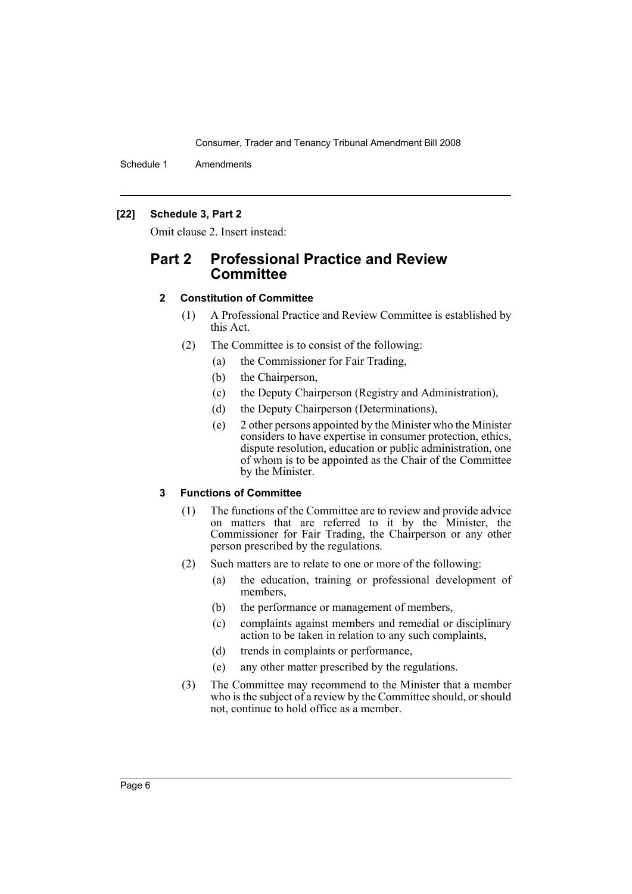Schedule 1 Amendments

### **[22] Schedule 3, Part 2**

Omit clause 2. Insert instead:

# **Part 2 Professional Practice and Review Committee**

### **2 Constitution of Committee**

- (1) A Professional Practice and Review Committee is established by this Act.
- (2) The Committee is to consist of the following:
	- (a) the Commissioner for Fair Trading,
	- (b) the Chairperson,
	- (c) the Deputy Chairperson (Registry and Administration),
	- (d) the Deputy Chairperson (Determinations),
	- (e) 2 other persons appointed by the Minister who the Minister considers to have expertise in consumer protection, ethics, dispute resolution, education or public administration, one of whom is to be appointed as the Chair of the Committee by the Minister.

# **3 Functions of Committee**

- (1) The functions of the Committee are to review and provide advice on matters that are referred to it by the Minister, the Commissioner for Fair Trading, the Chairperson or any other person prescribed by the regulations.
- (2) Such matters are to relate to one or more of the following:
	- (a) the education, training or professional development of members,
	- (b) the performance or management of members,
	- (c) complaints against members and remedial or disciplinary action to be taken in relation to any such complaints,
	- (d) trends in complaints or performance,
	- (e) any other matter prescribed by the regulations.
- (3) The Committee may recommend to the Minister that a member who is the subject of a review by the Committee should, or should not, continue to hold office as a member.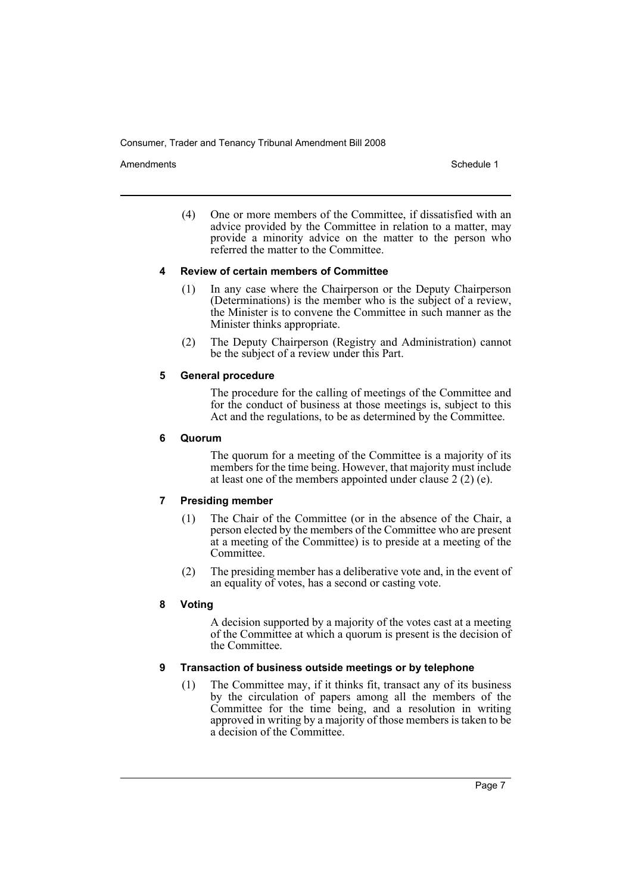Amendments **Amendments** Schedule 1

(4) One or more members of the Committee, if dissatisfied with an advice provided by the Committee in relation to a matter, may provide a minority advice on the matter to the person who referred the matter to the Committee.

### **4 Review of certain members of Committee**

- (1) In any case where the Chairperson or the Deputy Chairperson (Determinations) is the member who is the subject of a review, the Minister is to convene the Committee in such manner as the Minister thinks appropriate.
- (2) The Deputy Chairperson (Registry and Administration) cannot be the subject of a review under this Part.

# **5 General procedure**

The procedure for the calling of meetings of the Committee and for the conduct of business at those meetings is, subject to this Act and the regulations, to be as determined by the Committee.

### **6 Quorum**

The quorum for a meeting of the Committee is a majority of its members for the time being. However, that majority must include at least one of the members appointed under clause 2 (2) (e).

# **7 Presiding member**

- (1) The Chair of the Committee (or in the absence of the Chair, a person elected by the members of the Committee who are present at a meeting of the Committee) is to preside at a meeting of the Committee.
- (2) The presiding member has a deliberative vote and, in the event of an equality of votes, has a second or casting vote.

# **8 Voting**

A decision supported by a majority of the votes cast at a meeting of the Committee at which a quorum is present is the decision of the Committee.

# **9 Transaction of business outside meetings or by telephone**

(1) The Committee may, if it thinks fit, transact any of its business by the circulation of papers among all the members of the Committee for the time being, and a resolution in writing approved in writing by a majority of those members is taken to be a decision of the Committee.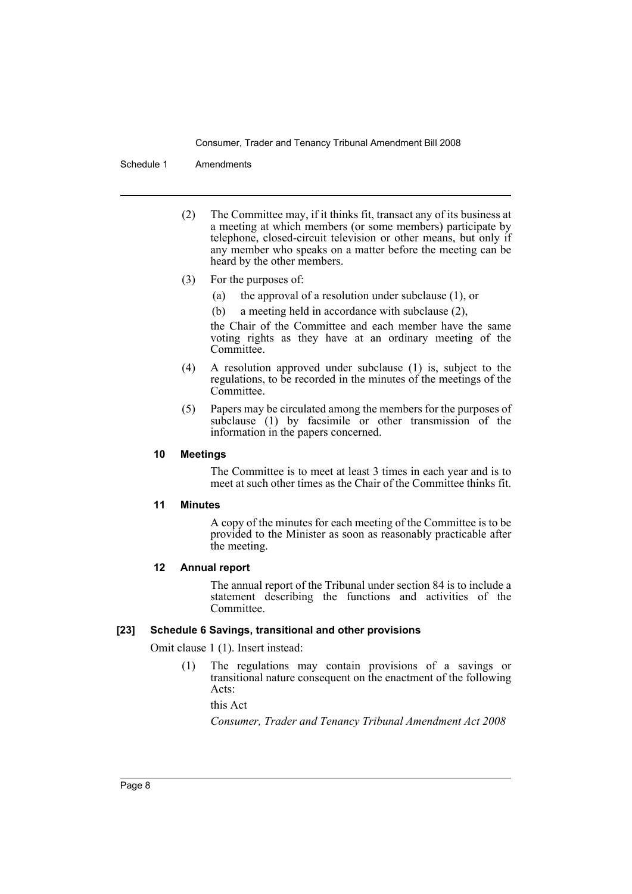Schedule 1 Amendments

- (2) The Committee may, if it thinks fit, transact any of its business at a meeting at which members (or some members) participate by telephone, closed-circuit television or other means, but only if any member who speaks on a matter before the meeting can be heard by the other members.
- (3) For the purposes of:
	- (a) the approval of a resolution under subclause (1), or
	- (b) a meeting held in accordance with subclause (2),

the Chair of the Committee and each member have the same voting rights as they have at an ordinary meeting of the Committee.

- (4) A resolution approved under subclause (1) is, subject to the regulations, to be recorded in the minutes of the meetings of the Committee.
- (5) Papers may be circulated among the members for the purposes of subclause (1) by facsimile or other transmission of the information in the papers concerned.

### **10 Meetings**

The Committee is to meet at least 3 times in each year and is to meet at such other times as the Chair of the Committee thinks fit.

## **11 Minutes**

A copy of the minutes for each meeting of the Committee is to be provided to the Minister as soon as reasonably practicable after the meeting.

### **12 Annual report**

The annual report of the Tribunal under section 84 is to include a statement describing the functions and activities of the Committee.

### **[23] Schedule 6 Savings, transitional and other provisions**

Omit clause 1 (1). Insert instead:

(1) The regulations may contain provisions of a savings or transitional nature consequent on the enactment of the following Acts:

this Act

*Consumer, Trader and Tenancy Tribunal Amendment Act 2008*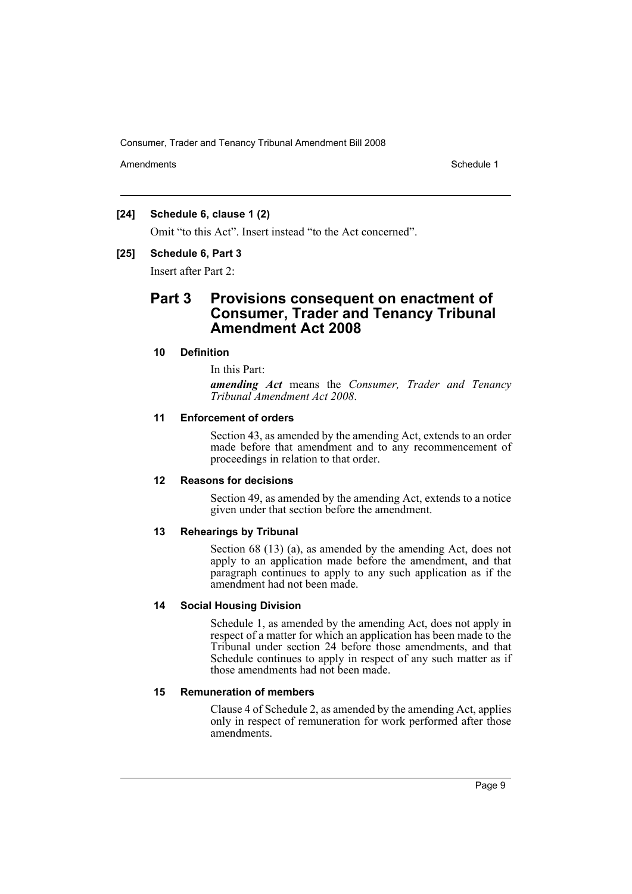Amendments **Amendments** Schedule 1

# **[24] Schedule 6, clause 1 (2)**

Omit "to this Act". Insert instead "to the Act concerned".

### **[25] Schedule 6, Part 3**

Insert after Part 2:

# **Part 3 Provisions consequent on enactment of Consumer, Trader and Tenancy Tribunal Amendment Act 2008**

### **10 Definition**

In this Part:

*amending Act* means the *Consumer, Trader and Tenancy Tribunal Amendment Act 2008*.

### **11 Enforcement of orders**

Section 43, as amended by the amending Act, extends to an order made before that amendment and to any recommencement of proceedings in relation to that order.

# **12 Reasons for decisions**

Section 49, as amended by the amending Act, extends to a notice given under that section before the amendment.

# **13 Rehearings by Tribunal**

Section 68 (13) (a), as amended by the amending Act, does not apply to an application made before the amendment, and that paragraph continues to apply to any such application as if the amendment had not been made.

# **14 Social Housing Division**

Schedule 1, as amended by the amending Act, does not apply in respect of a matter for which an application has been made to the Tribunal under section 24 before those amendments, and that Schedule continues to apply in respect of any such matter as if those amendments had not been made.

# **15 Remuneration of members**

Clause 4 of Schedule 2, as amended by the amending Act, applies only in respect of remuneration for work performed after those amendments.